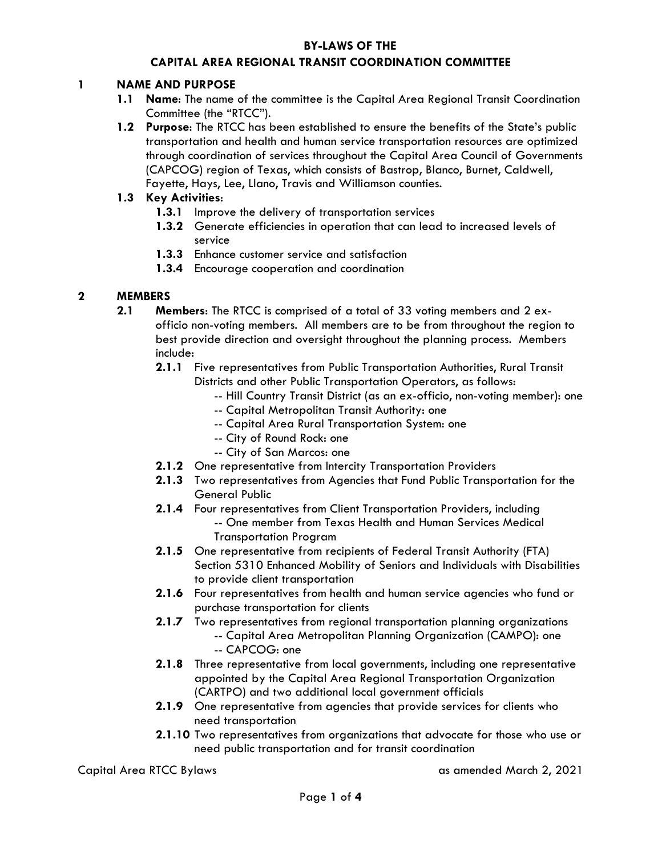### **BY-LAWS OF THE**

### **CAPITAL AREA REGIONAL TRANSIT COORDINATION COMMITTEE**

#### **1 NAME AND PURPOSE**

- **1.1 Name**: The name of the committee is the Capital Area Regional Transit Coordination Committee (the "RTCC").
- **1.2 Purpose**: The RTCC has been established to ensure the benefits of the State's public transportation and health and human service transportation resources are optimized through coordination of services throughout the Capital Area Council of Governments (CAPCOG) region of Texas, which consists of Bastrop, Blanco, Burnet, Caldwell, Fayette, Hays, Lee, Llano, Travis and Williamson counties.

#### **1.3 Key Activities**:

- **1.3.1** Improve the delivery of transportation services
- **1.3.2** Generate efficiencies in operation that can lead to increased levels of service
- **1.3.3** Enhance customer service and satisfaction
- **1.3.4** Encourage cooperation and coordination

#### **2 MEMBERS**

- **2.1 Members**: The RTCC is comprised of a total of 33 voting members and 2 exofficio non-voting members. All members are to be from throughout the region to best provide direction and oversight throughout the planning process. Members include:
	- **2.1.1** Five representatives from Public Transportation Authorities, Rural Transit Districts and other Public Transportation Operators, as follows:
		- -- Hill Country Transit District (as an ex-officio, non-voting member): one
		- -- Capital Metropolitan Transit Authority: one
		- -- Capital Area Rural Transportation System: one
		- -- City of Round Rock: one
		- -- City of San Marcos: one
	- **2.1.2** One representative from Intercity Transportation Providers
	- **2.1.3** Two representatives from Agencies that Fund Public Transportation for the General Public
	- **2.1.4** Four representatives from Client Transportation Providers, including
		- -- One member from Texas Health and Human Services Medical Transportation Program
	- **2.1.5** One representative from recipients of Federal Transit Authority (FTA) Section 5310 Enhanced Mobility of Seniors and Individuals with Disabilities to provide client transportation
	- **2.1.6** Four representatives from health and human service agencies who fund or purchase transportation for clients
	- **2.1.7** Two representatives from regional transportation planning organizations -- Capital Area Metropolitan Planning Organization (CAMPO): one
	- -- CAPCOG: one **2.1.8** Three representative from local governments, including one representative
		- appointed by the Capital Area Regional Transportation Organization (CARTPO) and two additional local government officials
	- **2.1.9** One representative from agencies that provide services for clients who need transportation
	- **2.1.10** Two representatives from organizations that advocate for those who use or need public transportation and for transit coordination

Capital Area RTCC Bylaws as amended March 2, 2021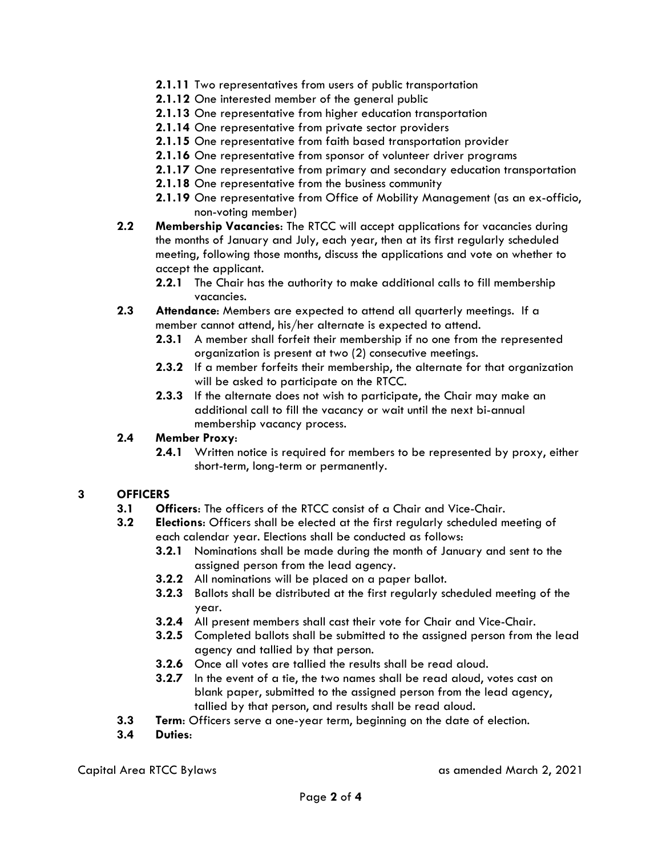- **2.1.11** Two representatives from users of public transportation
- **2.1.12** One interested member of the general public
- **2.1.13** One representative from higher education transportation
- **2.1.14** One representative from private sector providers
- **2.1.15** One representative from faith based transportation provider
- **2.1.16** One representative from sponsor of volunteer driver programs
- **2.1.17** One representative from primary and secondary education transportation
- **2.1.18** One representative from the business community
- **2.1.19** One representative from Office of Mobility Management (as an ex-officio, non-voting member)
- **2.2 Membership Vacancies**: The RTCC will accept applications for vacancies during the months of January and July, each year, then at its first regularly scheduled meeting, following those months, discuss the applications and vote on whether to accept the applicant.
	- **2.2.1** The Chair has the authority to make additional calls to fill membership vacancies.
- **2.3 Attendance**: Members are expected to attend all quarterly meetings. If a member cannot attend, his/her alternate is expected to attend.
	- **2.3.1** A member shall forfeit their membership if no one from the represented organization is present at two (2) consecutive meetings.
	- **2.3.2** If a member forfeits their membership, the alternate for that organization will be asked to participate on the RTCC.
	- **2.3.3** If the alternate does not wish to participate, the Chair may make an additional call to fill the vacancy or wait until the next bi-annual membership vacancy process.

### **2.4 Member Proxy**:

**2.4.1** Written notice is required for members to be represented by proxy, either short-term, long-term or permanently.

# **3 OFFICERS**

- **3.1 Officers**: The officers of the RTCC consist of a Chair and Vice-Chair.
- **3.2 Elections**: Officers shall be elected at the first regularly scheduled meeting of each calendar year. Elections shall be conducted as follows:
	- **3.2.1** Nominations shall be made during the month of January and sent to the assigned person from the lead agency.
	- **3.2.2** All nominations will be placed on a paper ballot.
	- **3.2.3** Ballots shall be distributed at the first regularly scheduled meeting of the year.
	- **3.2.4** All present members shall cast their vote for Chair and Vice-Chair.
	- **3.2.5** Completed ballots shall be submitted to the assigned person from the lead agency and tallied by that person.
	- **3.2.6** Once all votes are tallied the results shall be read aloud.
	- **3.2.7** In the event of a tie, the two names shall be read aloud, votes cast on blank paper, submitted to the assigned person from the lead agency, tallied by that person, and results shall be read aloud.
- **3.3 Term**: Officers serve a one-year term, beginning on the date of election.
- **3.4 Duties**: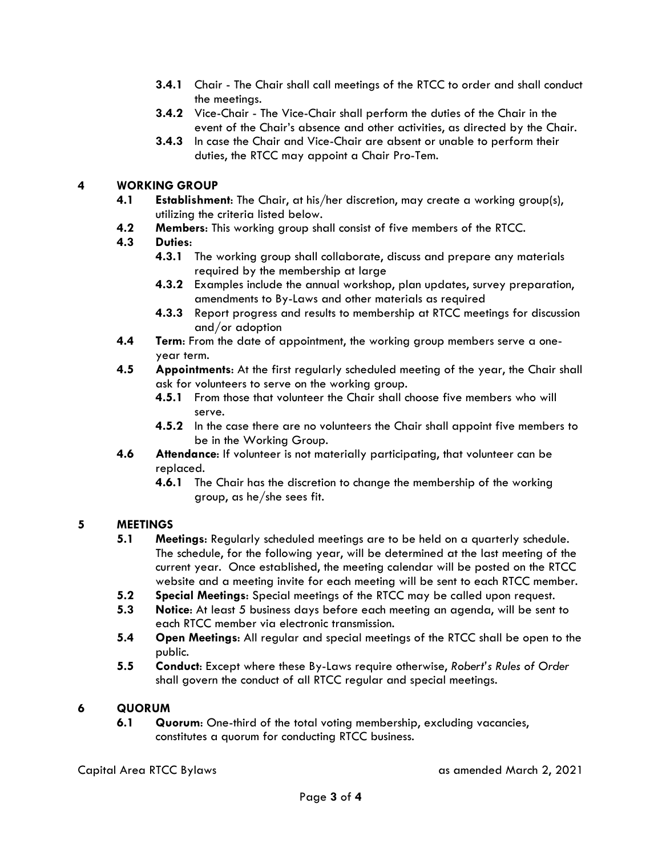- **3.4.1** Chair The Chair shall call meetings of the RTCC to order and shall conduct the meetings.
- **3.4.2** Vice-Chair The Vice-Chair shall perform the duties of the Chair in the event of the Chair's absence and other activities, as directed by the Chair.
- **3.4.3** In case the Chair and Vice-Chair are absent or unable to perform their duties, the RTCC may appoint a Chair Pro-Tem.

# **4 WORKING GROUP**

- **4.1 Establishment**: The Chair, at his/her discretion, may create a working group(s), utilizing the criteria listed below.
- **4.2 Members**: This working group shall consist of five members of the RTCC.

# **4.3 Duties**:

- **4.3.1** The working group shall collaborate, discuss and prepare any materials required by the membership at large
- **4.3.2** Examples include the annual workshop, plan updates, survey preparation, amendments to By-Laws and other materials as required
- **4.3.3** Report progress and results to membership at RTCC meetings for discussion and/or adoption
- **4.4 Term**: From the date of appointment, the working group members serve a oneyear term.
- **4.5 Appointments**: At the first regularly scheduled meeting of the year, the Chair shall ask for volunteers to serve on the working group.
	- **4.5.1** From those that volunteer the Chair shall choose five members who will serve.
	- **4.5.2** In the case there are no volunteers the Chair shall appoint five members to be in the Working Group.
- **4.6 Attendance**: If volunteer is not materially participating, that volunteer can be replaced.
	- **4.6.1** The Chair has the discretion to change the membership of the working group, as he/she sees fit.

# **5 MEETINGS**

- **5.1 Meetings**: Regularly scheduled meetings are to be held on a quarterly schedule. The schedule, for the following year, will be determined at the last meeting of the current year. Once established, the meeting calendar will be posted on the RTCC website and a meeting invite for each meeting will be sent to each RTCC member.
- **5.2 Special Meetings**: Special meetings of the RTCC may be called upon request.
- **5.3 Notice**: At least 5 business days before each meeting an agenda, will be sent to each RTCC member via electronic transmission.
- **5.4 Open Meetings**: All regular and special meetings of the RTCC shall be open to the public.
- **5.5 Conduct**: Except where these By-Laws require otherwise, *Robert's Rules of Order* shall govern the conduct of all RTCC regular and special meetings.

# **6 QUORUM**

**6.1 Quorum**: One-third of the total voting membership, excluding vacancies, constitutes a quorum for conducting RTCC business.